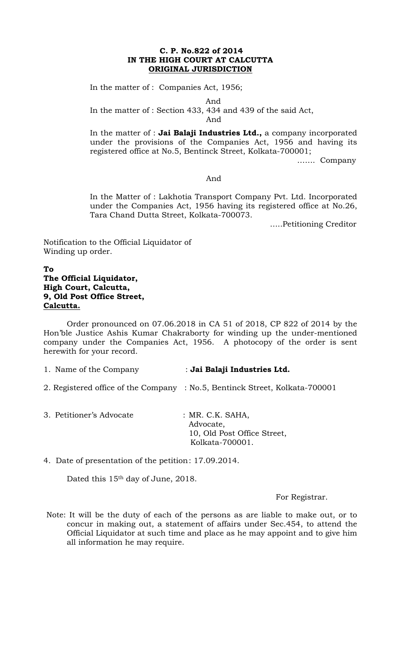### **C. P. No.822 of 2014 IN THE HIGH COURT AT CALCUTTA ORIGINAL JURISDICTION**

In the matter of : Companies Act, 1956;

And

In the matter of : Section 433, 434 and 439 of the said Act,

And

In the matter of : **Jai Balaji Industries Ltd.,** a company incorporated under the provisions of the Companies Act, 1956 and having its registered office at No.5, Bentinck Street, Kolkata-700001;

……. Company

#### And

In the Matter of : Lakhotia Transport Company Pvt. Ltd. Incorporated under the Companies Act, 1956 having its registered office at No.26, Tara Chand Dutta Street, Kolkata-700073.

…..Petitioning Creditor

Notification to the Official Liquidator of Winding up order.

# **To The Official Liquidator, High Court, Calcutta, 9, Old Post Office Street, Calcutta.**

Order pronounced on 07.06.2018 in CA 51 of 2018, CP 822 of 2014 by the Hon'ble Justice Ashis Kumar Chakraborty for winding up the under-mentioned company under the Companies Act, 1956. A photocopy of the order is sent herewith for your record.

### 1. Name of the Company : **Jai Balaji Industries Ltd.**

- 2. Registered office of the Company : No.5, Bentinck Street, Kolkata-700001
- 3. Petitioner's Advocate : MR. C.K. SAHA,

Advocate, 10, Old Post Office Street, Kolkata-700001.

4. Date of presentation of the petition : 17.09.2014.

Dated this 15<sup>th</sup> day of June, 2018.

For Registrar.

Note: It will be the duty of each of the persons as are liable to make out, or to concur in making out, a statement of affairs under Sec.454, to attend the Official Liquidator at such time and place as he may appoint and to give him all information he may require.